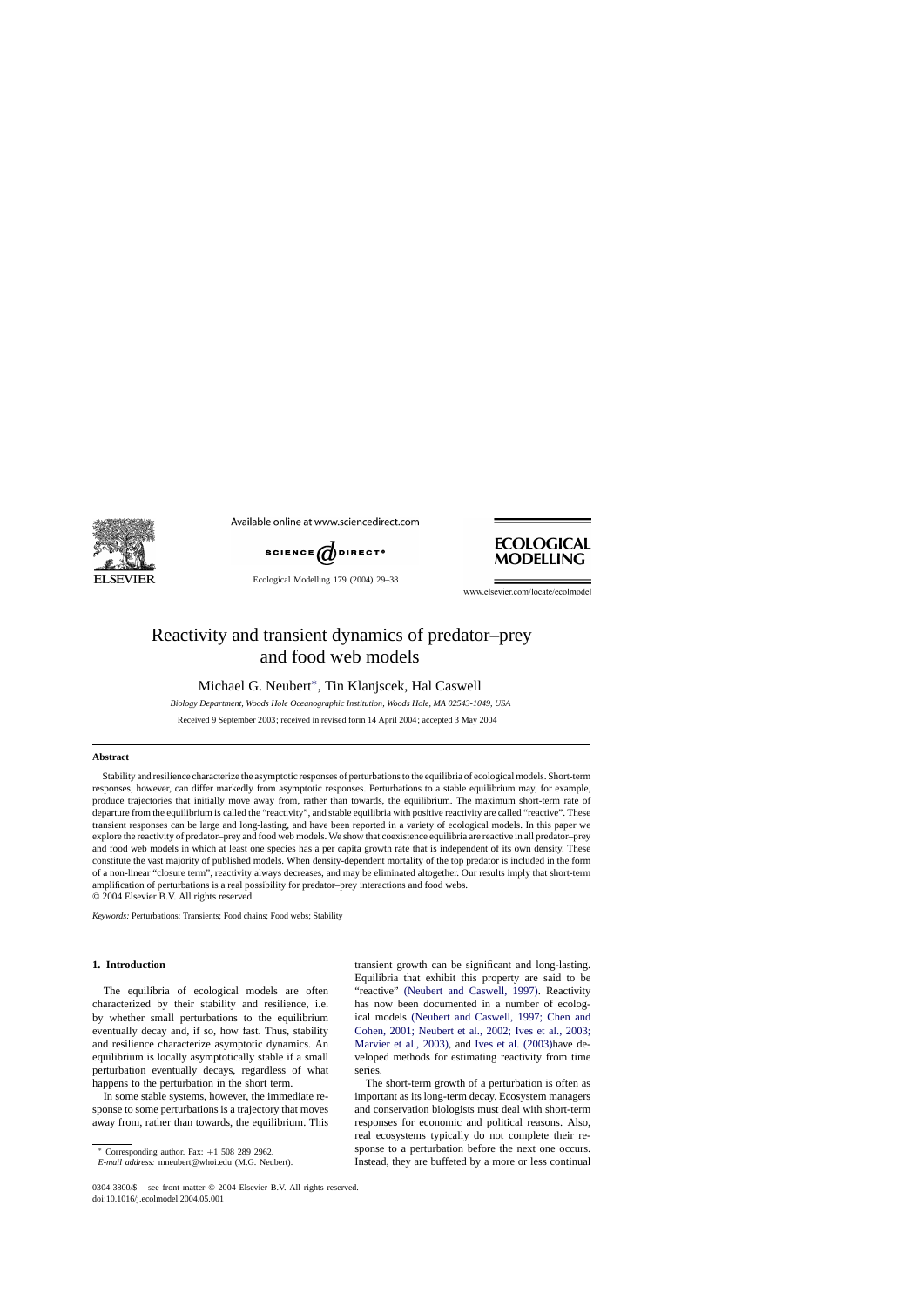

Available online at www.sciencedirect.com



Ecological Modelling 179 (2004) 29–38



www.elsevier.com/locate/ecolmodel

# Reactivity and transient dynamics of predator–prey and food web models

Michael G. Neubert∗, Tin Klanjscek, Hal Caswell

*Biology Department, Woods Hole Oceanographic Institution, Woods Hole, MA 02543-1049, USA*

Received 9 September 2003; received in revised form 14 April 2004; accepted 3 May 2004

#### **Abstract**

Stability and resilience characterize the asymptotic responses of perturbations to the equilibria of ecological models. Short-term responses, however, can differ markedly from asymptotic responses. Perturbations to a stable equilibrium may, for example, produce trajectories that initially move away from, rather than towards, the equilibrium. The maximum short-term rate of departure from the equilibrium is called the "reactivity", and stable equilibria with positive reactivity are called "reactive". These transient responses can be large and long-lasting, and have been reported in a variety of ecological models. In this paper we explore the reactivity of predator–prey and food web models. We show that coexistence equilibria are reactive in all predator–prey and food web models in which at least one species has a per capita growth rate that is independent of its own density. These constitute the vast majority of published models. When density-dependent mortality of the top predator is included in the form of a non-linear "closure term", reactivity always decreases, and may be eliminated altogether. Our results imply that short-term amplification of perturbations is a real possibility for predator–prey interactions and food webs. © 2004 Elsevier B.V. All rights reserved.

*Keywords:* Perturbations; Transients; Food chains; Food webs; Stability

# **1. Introduction**

The equilibria of ecological models are often characterized by their stability and resilience, i.e. by whether small perturbations to the equilibrium eventually decay and, if so, how fast. Thus, stability and resilience characterize asymptotic dynamics. An equilibrium is locally asymptotically stable if a small perturbation eventually decays, regardless of what happens to the perturbation in the short term.

In some stable systems, however, the immediate response to some perturbations is a trajectory that moves away from, rather than towards, the equilibrium. This transient growth can be significant and long-lasting. Equilibria that exhibit this property are said to be "reactive" [\(Neubert and Caswell, 1997\)](#page-9-0). Reactivity has now been documented in a number of ecological models [\(Neubert and Caswell, 1997; Chen and](#page-9-0) [Cohen, 2001; Neubert et al., 2002; Ives et al., 2003;](#page-9-0) [Marvier et al., 2003\),](#page-9-0) and [Ives et al. \(2003\)h](#page-8-0)ave developed methods for estimating reactivity from time series.

The short-term growth of a perturbation is often as important as its long-term decay. Ecosystem managers and conservation biologists must deal with short-term responses for economic and political reasons. Also, real ecosystems typically do not complete their response to a perturbation before the next one occurs. Instead, they are buffeted by a more or less continual

Corresponding author. Fax:  $+1$  508 289 2962.

*E-mail address:* mneubert@whoi.edu (M.G. Neubert).

<sup>0304-3800/\$ –</sup> see front matter © 2004 Elsevier B.V. All rights reserved. doi:10.1016/j.ecolmodel.2004.05.001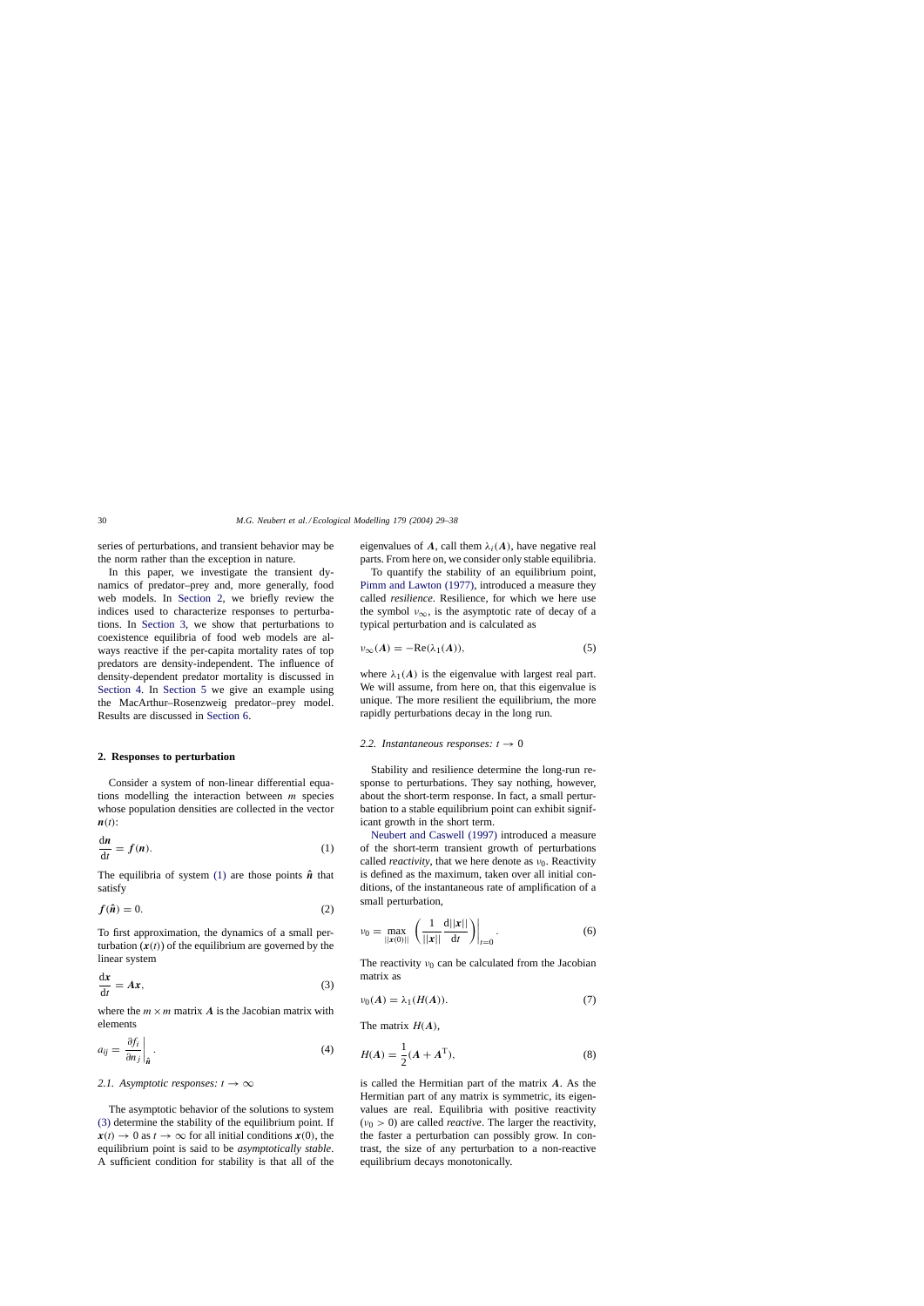<span id="page-1-0"></span>series of perturbations, and transient behavior may be the norm rather than the exception in nature.

In this paper, we investigate the transient dynamics of predator–prey and, more generally, food web models. In Section 2, we briefly review the indices used to characterize responses to perturbations. In [Section 3,](#page-3-0) we show that perturbations to coexistence equilibria of food web models are always reactive if the per-capita mortality rates of top predators are density-independent. The influence of density-dependent predator mortality is discussed in [Section 4.](#page-4-0) In [Section 5](#page-5-0) we give an example using the MacArthur–Rosenzweig predator–prey model. Results are discussed in [Section 6.](#page-7-0)

#### **2. Responses to perturbation**

Consider a system of non-linear differential equations modelling the interaction between  $m$  species whose population densities are collected in the vector  $\boldsymbol{n}(t)$ :

$$
\frac{\mathrm{d}n}{\mathrm{d}t} = f(n). \tag{1}
$$

The equilibria of system (1) are those points  $\hat{n}$  that satisfy

$$
f(\hat{\boldsymbol{n}}) = 0. \tag{2}
$$

To first approximation, the dynamics of a small perturbation  $(x(t))$  of the equilibrium are governed by the linear system

$$
\frac{\mathrm{d}x}{\mathrm{d}t} = Ax,\tag{3}
$$

where the  $m \times m$  matrix *A* is the Jacobian matrix with elements

$$
a_{ij} = \left. \frac{\partial f_i}{\partial n_j} \right|_{\hat{\mathbf{n}}} . \tag{4}
$$

## 2.1. Asymptotic responses:  $t \rightarrow \infty$

The asymptotic behavior of the solutions to system (3) determine the stability of the equilibrium point. If  $x(t) \to 0$  as  $t \to \infty$  for all initial conditions  $x(0)$ , the equilibrium point is said to be *asymptotically stable*. A sufficient condition for stability is that all of the eigenvalues of A, call them  $\lambda_i(A)$ , have negative real parts. From here on, we consider only stable equilibria.

To quantify the stability of an equilibrium point, [Pimm and Lawton \(1977\),](#page-9-0) introduced a measure they called *resilience*. Resilience, for which we here use the symbol  $v_{\infty}$ , is the asymptotic rate of decay of a typical perturbation and is calculated as

$$
\nu_{\infty}(A) = -\text{Re}(\lambda_1(A)),\tag{5}
$$

where  $\lambda_1(A)$  is the eigenvalue with largest real part. We will assume, from here on, that this eigenvalue is unique. The more resilient the equilibrium, the more rapidly perturbations decay in the long run.

#### 2.2. Instantaneous responses:  $t \rightarrow 0$

Stability and resilience determine the long-run response to perturbations. They say nothing, however, about the short-term response. In fact, a small perturbation to a stable equilibrium point can exhibit significant growth in the short term.

[Neubert and Caswell \(1997\)](#page-9-0) introduced a measure of the short-term transient growth of perturbations called *reactivity*, that we here denote as  $v_0$ . Reactivity is defined as the maximum, taken over all initial conditions, of the instantaneous rate of amplification of a small perturbation,

$$
\nu_0 = \max_{||\mathbf{x}(0)||} \left( \frac{1}{||\mathbf{x}||} \frac{d||\mathbf{x}||}{dt} \right) \Big|_{t=0}.
$$
 (6)

The reactivity  $v_0$  can be calculated from the Jacobian matrix as

$$
\nu_0(A) = \lambda_1(H(A)).\tag{7}
$$

The matrix  $H(A)$ ,

$$
H(A) = \frac{1}{2}(A + A^{T}),
$$
\n(8)

is called the Hermitian part of the matrix *A*. As the Hermitian part of any matrix is symmetric, its eigenvalues are real. Equilibria with positive reactivity  $(v_0 > 0)$  are called *reactive*. The larger the reactivity, the faster a perturbation can possibly grow. In contrast, the size of any perturbation to a non-reactive equilibrium decays monotonically.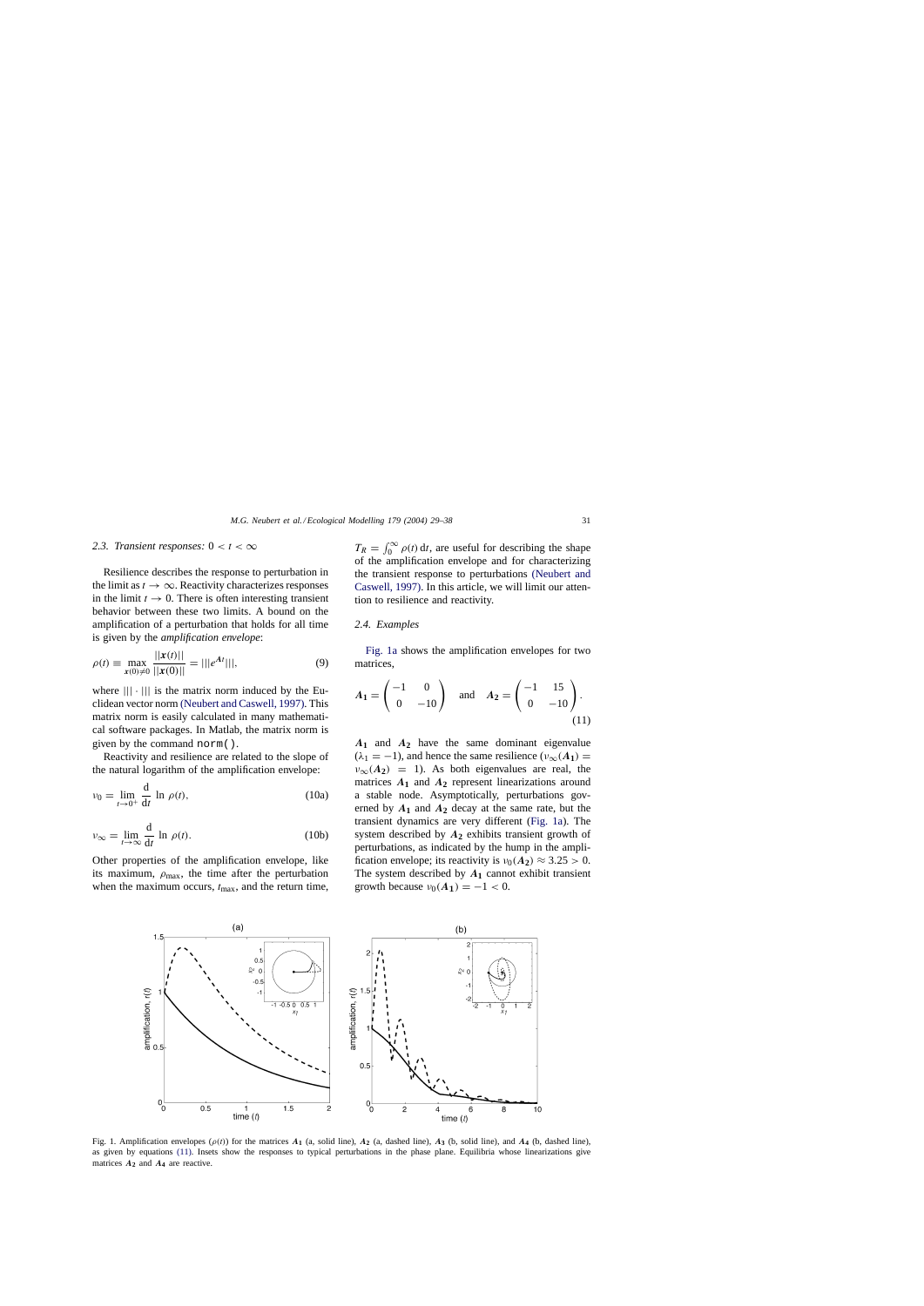## <span id="page-2-0"></span>2.3. Transient responses:  $0 < t < \infty$

Resilience describes the response to perturbation in the limit as  $t \to \infty$ . Reactivity characterizes responses in the limit  $t \to 0$ . There is often interesting transient behavior between these two limits. A bound on the amplification of a perturbation that holds for all time is given by the *amplification envelope*:

$$
\rho(t) \equiv \max_{\mathbf{x}(0)\neq 0} \frac{||\mathbf{x}(t)||}{||\mathbf{x}(0)||} = |||e^{At}|||,\tag{9}
$$

where  $|||\cdot|||$  is the matrix norm induced by the Euclidean vector norm [\(Neubert and Caswell, 1997\). T](#page-9-0)his matrix norm is easily calculated in many mathematical software packages. In Matlab, the matrix norm is given by the command norm().

Reactivity and resilience are related to the slope of the natural logarithm of the amplification envelope:

$$
\nu_0 = \lim_{t \to 0^+} \frac{\mathrm{d}}{\mathrm{d}t} \ln \rho(t),\tag{10a}
$$

$$
\nu_{\infty} = \lim_{t \to \infty} \frac{d}{dt} \ln \rho(t). \tag{10b}
$$

Other properties of the amplification envelope, like its maximum,  $\rho_{\text{max}}$ , the time after the perturbation when the maximum occurs,  $t_{\text{max}}$ , and the return time,

 $T_R = \int_0^\infty \rho(t) dt$ , are useful for describing the shape of the amplification envelope and for characterizing the transient response to perturbations [\(Neubert and](#page-9-0) [Caswell, 1997\). I](#page-9-0)n this article, we will limit our attention to resilience and reactivity.

#### *2.4. Examples*

Fig. 1a shows the amplification envelopes for two matrices,

$$
A_1 = \begin{pmatrix} -1 & 0 \\ 0 & -10 \end{pmatrix} \text{ and } A_2 = \begin{pmatrix} -1 & 15 \\ 0 & -10 \end{pmatrix}.
$$
 (11)

*A***<sup>1</sup>** and *A***<sup>2</sup>** have the same dominant eigenvalue  $(\lambda_1 = -1)$ , and hence the same resilience  $(\nu_\infty(A_1))$  =  $v_{\infty}(A_2) = 1$ ). As both eigenvalues are real, the matrices  $A_1$  and  $A_2$  represent linearizations around a stable node. Asymptotically, perturbations governed by  $A_1$  and  $A_2$  decay at the same rate, but the transient dynamics are very different (Fig. 1a). The system described by *A***<sup>2</sup>** exhibits transient growth of perturbations, as indicated by the hump in the amplification envelope; its reactivity is  $v_0(A_2) \approx 3.25 > 0$ . The system described by  $A_1$  cannot exhibit transient growth because  $v_0(A_1) = -1 < 0$ .



Fig. 1. Amplification envelopes  $(\rho(t))$  for the matrices  $A_1$  (a, solid line),  $A_2$  (a, dashed line),  $A_3$  (b, solid line), and  $A_4$  (b, dashed line), as given by equations (11). Insets show the responses to typical perturbations in the phase plane. Equilibria whose linearizations give matrices  $A_2$  and  $A_4$  are reactive.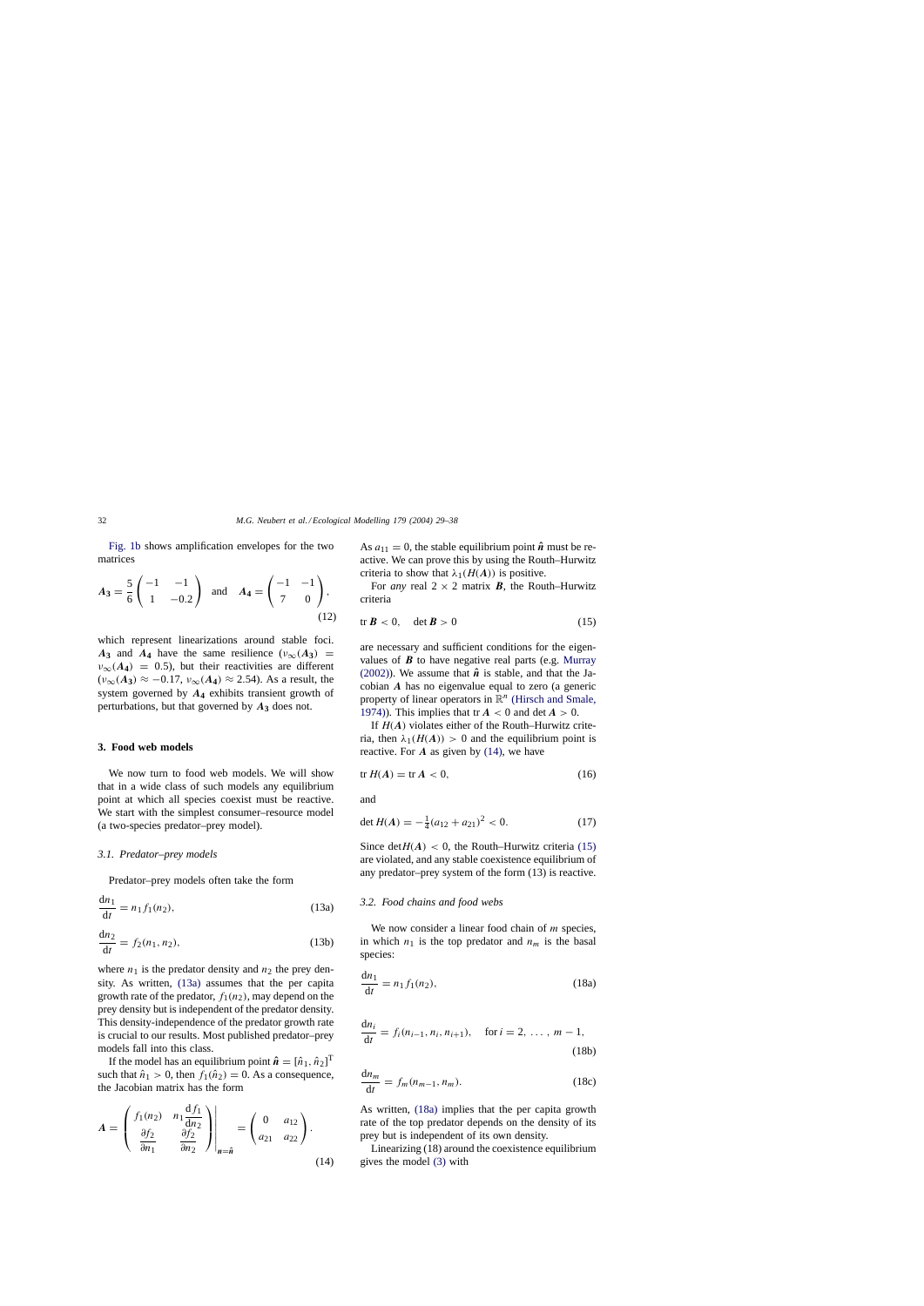<span id="page-3-0"></span>[Fig. 1b](#page-2-0) shows amplification envelopes for the two matrices

$$
A_3 = \frac{5}{6} \begin{pmatrix} -1 & -1 \\ 1 & -0.2 \end{pmatrix} \text{ and } A_4 = \begin{pmatrix} -1 & -1 \\ 7 & 0 \end{pmatrix},
$$
(12)

which represent linearizations around stable foci.  $A_3$  and  $A_4$  have the same resilience ( $v_{\infty}(A_3)$ ) =  $v_{\infty}(A_4) = 0.5$ , but their reactivities are different  $(\nu_{\infty}(A_3) \approx -0.17, \nu_{\infty}(A_4) \approx 2.54)$ . As a result, the system governed by *A***<sup>4</sup>** exhibits transient growth of perturbations, but that governed by  $A_3$  does not.

## **3. Food web models**

We now turn to food web models. We will show that in a wide class of such models any equilibrium point at which all species coexist must be reactive. We start with the simplest consumer–resource model (a two-species predator–prey model).

## *3.1. Predator–prey models*

Predator–prey models often take the form

$$
\frac{dn_1}{dt} = n_1 f_1(n_2),
$$
 (13a)

$$
\frac{dn_2}{dt} = f_2(n_1, n_2),
$$
 (13b)

where  $n_1$  is the predator density and  $n_2$  the prey density. As written, (13a) assumes that the per capita growth rate of the predator,  $f_1(n_2)$ , may depend on the prey density but is independent of the predator density. This density-independence of the predator growth rate is crucial to our results. Most published predator–prey models fall into this class.

If the model has an equilibrium point  $\hat{\boldsymbol{n}} = [\hat{n}_1, \hat{n}_2]^T$ such that  $\hat{n}_1 > 0$ , then  $f_1(\hat{n}_2) = 0$ . As a consequence, the Jacobian matrix has the form

$$
A = \begin{pmatrix} f_1(n_2) & n_1 \frac{\mathrm{d}f_1}{\mathrm{d}n_2} \\ \frac{\partial f_2}{\partial n_1} & \frac{\partial f_2}{\partial n_2} \end{pmatrix} \Big|_{n=\hat{n}} = \begin{pmatrix} 0 & a_{12} \\ a_{21} & a_{22} \end{pmatrix}.
$$
\n(14)

As  $a_{11} = 0$ , the stable equilibrium point  $\hat{\boldsymbol{n}}$  must be reactive. We can prove this by using the Routh–Hurwitz criteria to show that  $\lambda_1(H(A))$  is positive.

For *any* real  $2 \times 2$  matrix *B*, the Routh–Hurwitz criteria

$$
\text{tr } B < 0, \quad \det B > 0 \tag{15}
$$

are necessary and sufficient conditions for the eigenvalues of  $\boldsymbol{B}$  to have negative real parts (e.g. [Murray](#page-8-0) [\(2002\)\).](#page-8-0) We assume that  $\hat{\boldsymbol{n}}$  is stable, and that the Jacobian *A* has no eigenvalue equal to zero (a generic property of linear operators in  $\mathbb{R}^n$  [\(Hirsch and Smale,](#page-8-0) [1974\)\).](#page-8-0) This implies that  $tr A < 0$  and  $det A > 0$ .

If  $H(A)$  violates either of the Routh–Hurwitz criteria, then  $\lambda_1(H(A)) > 0$  and the equilibrium point is reactive. For *A* as given by (14), we have

$$
\operatorname{tr} H(A) = \operatorname{tr} A < 0,\tag{16}
$$

and

$$
\det H(A) = -\frac{1}{4}(a_{12} + a_{21})^2 < 0. \tag{17}
$$

Since det $H(A) < 0$ , the Routh–Hurwitz criteria (15) are violated, and any stable coexistence equilibrium of any predator–prey system of the form (13) is reactive.

## *3.2. Food chains and food webs*

We now consider a linear food chain of *m* species, in which  $n_1$  is the top predator and  $n_m$  is the basal species:

$$
\frac{dn_1}{dt} = n_1 f_1(n_2),
$$
 (18a)

$$
\frac{dn_i}{dt} = f_i(n_{i-1}, n_i, n_{i+1}), \quad \text{for } i = 2, \dots, m-1,
$$
\n(18b)

$$
\frac{\mathrm{d}n_m}{\mathrm{d}t} = f_m(n_{m-1}, n_m). \tag{18c}
$$

As written, (18a) implies that the per capita growth rate of the top predator depends on the density of its prey but is independent of its own density.

Linearizing (18) around the coexistence equilibrium gives the model [\(3\)](#page-1-0) with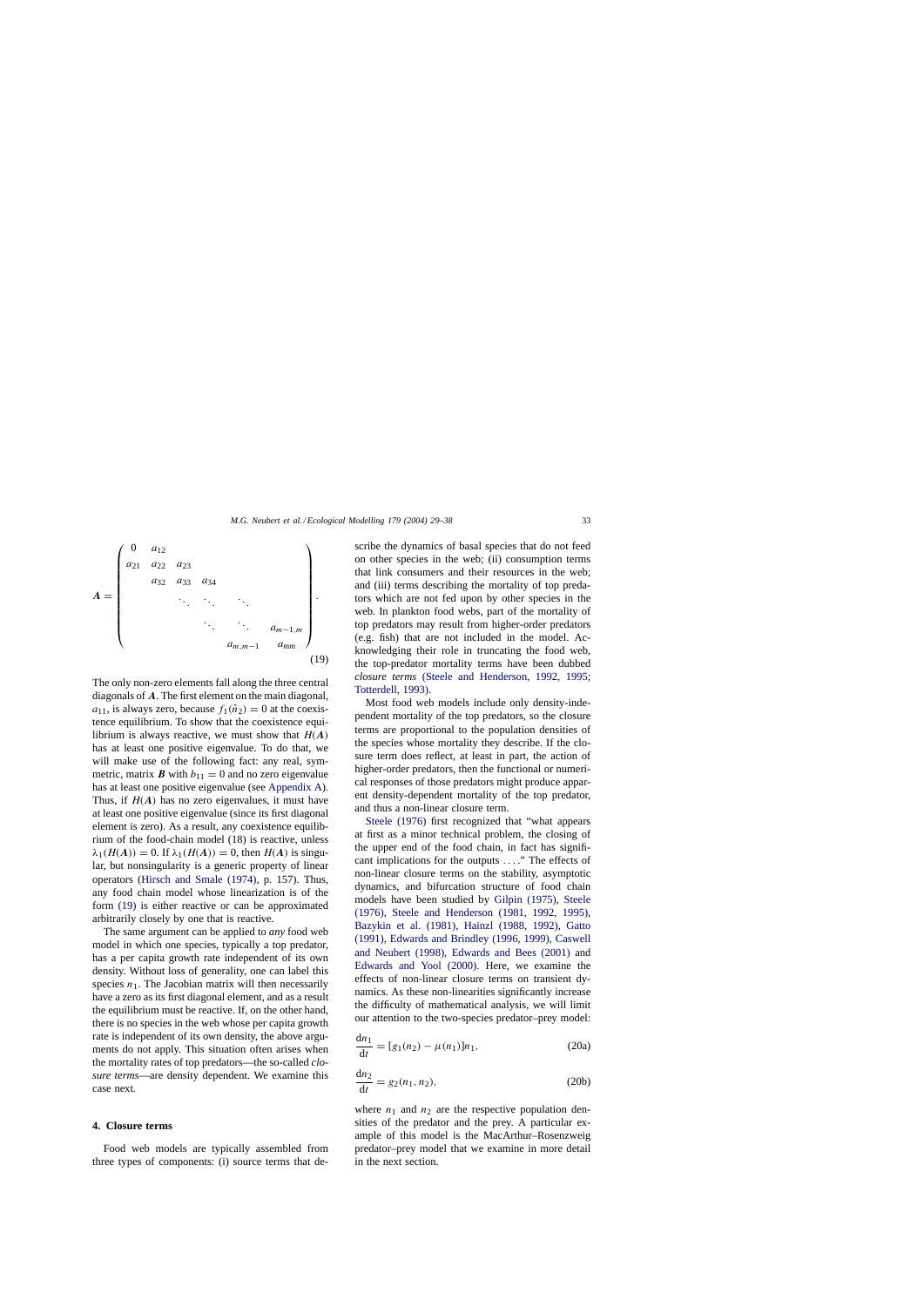<span id="page-4-0"></span>

The only non-zero elements fall along the three central diagonals of *A*. The first element on the main diagonal,  $a_{11}$ , is always zero, because  $f_1(\hat{n}_2) = 0$  at the coexistence equilibrium. To show that the coexistence equilibrium is always reactive, we must show that  $H(A)$ has at least one positive eigenvalue. To do that, we will make use of the following fact: any real, symmetric, matrix *B* with  $b_{11} = 0$  and no zero eigenvalue has at least one positive eigenvalue (see [Appendix A\).](#page-8-0) Thus, if  $H(A)$  has no zero eigenvalues, it must have at least one positive eigenvalue (since its first diagonal element is zero). As a result, any coexistence equilibrium of the food-chain model (18) is reactive, unless  $\lambda_1(H(A)) = 0$ . If  $\lambda_1(H(A)) = 0$ , then  $H(A)$  is singular, but nonsingularity is a generic property of linear operators ([Hirsch and Smale \(1974\),](#page-8-0) p. 157). Thus, any food chain model whose linearization is of the form (19) is either reactive or can be approximated arbitrarily closely by one that is reactive.

The same argument can be applied to *any* food web model in which one species, typically a top predator, has a per capita growth rate independent of its own density. Without loss of generality, one can label this species  $n_1$ . The Jacobian matrix will then necessarily have a zero as its first diagonal element, and as a result the equilibrium must be reactive. If, on the other hand, there is no species in the web whose per capita growth rate is independent of its own density, the above arguments do not apply. This situation often arises when the mortality rates of top predators—the so-called *closure terms*—are density dependent. We examine this case next.

#### **4. Closure terms**

Food web models are typically assembled from three types of components: (i) source terms that describe the dynamics of basal species that do not feed on other species in the web; (ii) consumption terms that link consumers and their resources in the web; and (iii) terms describing the mortality of top predators which are not fed upon by other species in the web. In plankton food webs, part of the mortality of top predators may result from higher-order predators (e.g. fish) that are not included in the model. Acknowledging their role in truncating the food web, the top-predator mortality terms have been dubbed *closure terms* [\(Steele and Henderson, 1992, 1995](#page-9-0); [Totterdell, 1993\).](#page-9-0)

Most food web models include only density-independent mortality of the top predators, so the closure terms are proportional to the population densities of the species whose mortality they describe. If the closure term does reflect, at least in part, the action of higher-order predators, then the functional or numerical responses of those predators might produce apparent density-dependent mortality of the top predator, and thus a non-linear closure term.

[Steele \(1976\)](#page-9-0) first recognized that "what appears at first as a minor technical problem, the closing of the upper end of the food chain, in fact has significant implications for the outputs ... ." The effects of non-linear closure terms on the stability, asymptotic dynamics, and bifurcation structure of food chain models have been studied by [Gilpin \(1975\),](#page-8-0) [Steele](#page-9-0) [\(1976\), Steele and Henderson \(1981, 1992, 1995](#page-9-0)), [Bazykin et al. \(1981\)](#page-8-0), [Hainzl \(1988, 1992\),](#page-8-0) [Gatto](#page-8-0) [\(1991\),](#page-8-0) [Edwards and Brindley \(1996, 1999\), Caswell](#page-8-0) [and Neubert \(1998\), Edwards and Bees \(2001\)](#page-8-0) and [Edwards and Yool \(2000\)](#page-8-0). Here, we examine the effects of non-linear closure terms on transient dynamics. As these non-linearities significantly increase the difficulty of mathematical analysis, we will limit our attention to the two-species predator–prey model:

$$
\frac{dn_1}{dt} = [g_1(n_2) - \mu(n_1)]n_1,
$$
 (20a)

$$
\frac{dn_2}{dt} = g_2(n_1, n_2),
$$
 (20b)

where  $n_1$  and  $n_2$  are the respective population densities of the predator and the prey. A particular example of this model is the MacArthur–Rosenzweig predator–prey model that we examine in more detail in the next section.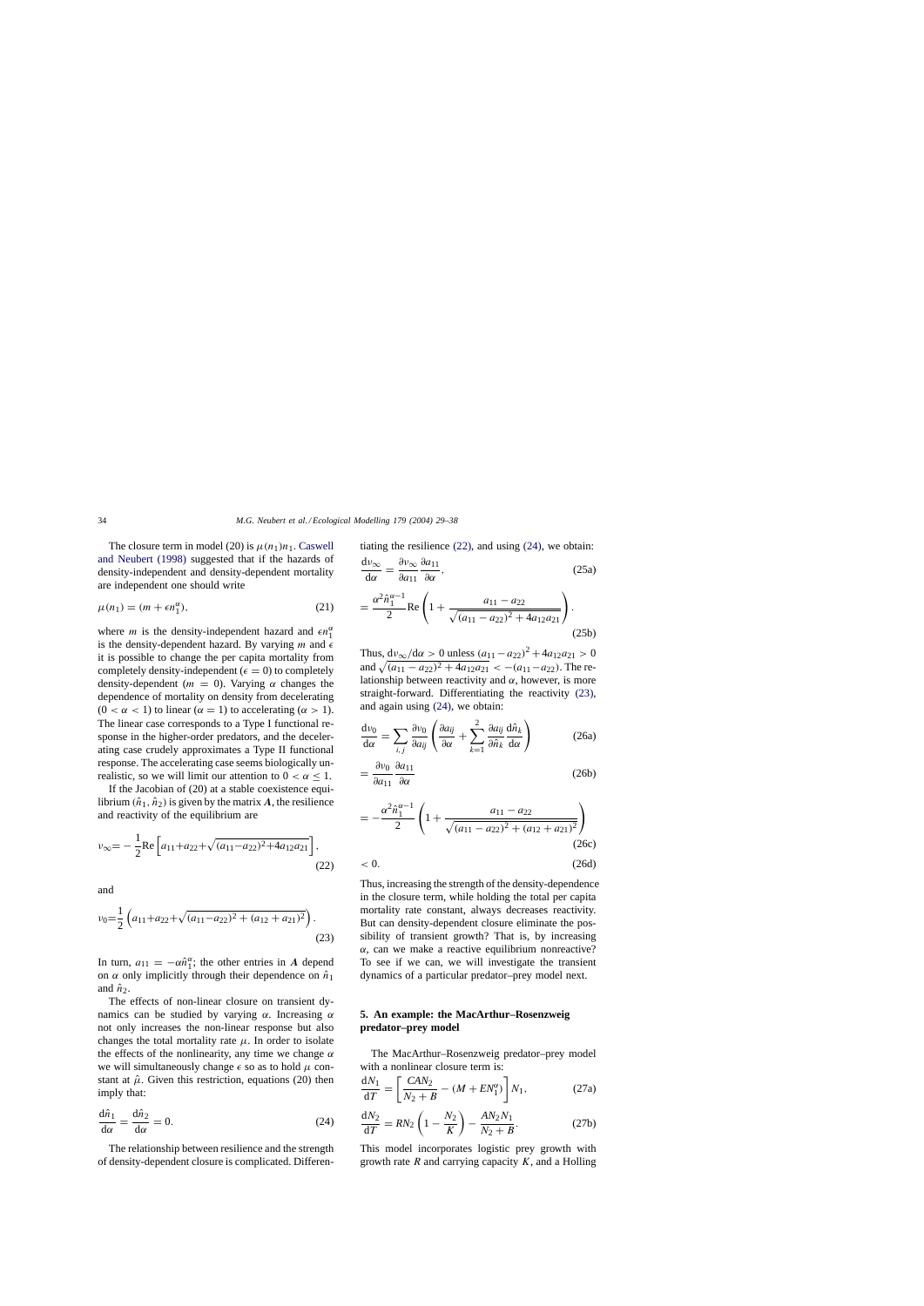<span id="page-5-0"></span>The closure term in model (20) is  $\mu(n_1)n_1$ . [Caswell](#page-8-0) [and Neubert \(1998\)](#page-8-0) suggested that if the hazards of density-independent and density-dependent mortality are independent one should write

$$
\mu(n_1) = (m + \epsilon n_1^{\alpha}),\tag{21}
$$

where *m* is the density-independent hazard and  $\epsilon n_1^{\alpha}$ is the density-dependent hazard. By varying m and  $\epsilon$ it is possible to change the per capita mortality from completely density-independent ( $\epsilon = 0$ ) to completely density-dependent ( $m = 0$ ). Varying  $\alpha$  changes the dependence of mortality on density from decelerating  $(0 < \alpha < 1)$  to linear  $(\alpha = 1)$  to accelerating  $(\alpha > 1)$ . The linear case corresponds to a Type I functional response in the higher-order predators, and the decelerating case crudely approximates a Type II functional response. The accelerating case seems biologically unrealistic, so we will limit our attention to  $0 < \alpha \leq 1$ .

If the Jacobian of (20) at a stable coexistence equilibrium  $(\hat{n}_1, \hat{n}_2)$  is given by the matrix A, the resilience and reactivity of the equilibrium are

$$
v_{\infty} = -\frac{1}{2} \text{Re} \left[ a_{11} + a_{22} + \sqrt{(a_{11} - a_{22})^2 + 4a_{12}a_{21}} \right],
$$
\n(22)

and

$$
v_0 = \frac{1}{2} \left( a_{11} + a_{22} + \sqrt{(a_{11} - a_{22})^2 + (a_{12} + a_{21})^2} \right).
$$
\n(23)

In turn,  $a_{11} = -\alpha \hat{n}_1^{\alpha}$ ; the other entries in *A* depend on  $\alpha$  only implicitly through their dependence on  $\hat{n}_1$ and  $\hat{n}_2$ .

The effects of non-linear closure on transient dynamics can be studied by varying  $\alpha$ . Increasing  $\alpha$ not only increases the non-linear response but also changes the total mortality rate  $\mu$ . In order to isolate the effects of the nonlinearity, any time we change  $\alpha$ we will simultaneously change  $\epsilon$  so as to hold  $\mu$  constant at  $\hat{\mu}$ . Given this restriction, equations (20) then imply that:

$$
\frac{d\hat{n}_1}{d\alpha} = \frac{d\hat{n}_2}{d\alpha} = 0.
$$
 (24)

The relationship between resilience and the strength of density-dependent closure is complicated. Differentiating the resilience (22), and using (24), we obtain:

$$
\frac{\mathrm{d}\nu_{\infty}}{\mathrm{d}\alpha} = \frac{\partial \nu_{\infty}}{\partial a_{11}} \frac{\partial a_{11}}{\partial \alpha},\tag{25a}
$$

$$
= \frac{\alpha^2 \hat{n}_1^{\alpha-1}}{2} \text{Re}\left(1 + \frac{a_{11} - a_{22}}{\sqrt{(a_{11} - a_{22})^2 + 4a_{12}a_{21}}}\right). \tag{25b}
$$

Thus,  $dv_{\infty}/d\alpha > 0$  unless  $(a_{11} - a_{22})^2 + 4a_{12}a_{21} > 0$ and  $\sqrt{(a_{11} - a_{22})^2 + 4a_{12}a_{21}} < -(a_{11} - a_{22})$ . The relationship between reactivity and  $\alpha$ , however, is more straight-forward. Differentiating the reactivity (23), and again using (24), we obtain:

$$
\frac{d\nu_0}{d\alpha} = \sum_{i,j} \frac{\partial \nu_0}{\partial a_{ij}} \left( \frac{\partial a_{ij}}{\partial \alpha} + \sum_{k=1}^2 \frac{\partial a_{ij}}{\partial \hat{n}_k} \frac{d\hat{n}_k}{d\alpha} \right)
$$
(26a)

$$
=\frac{\partial v_0}{\partial a_{11}}\frac{\partial a_{11}}{\partial \alpha} \tag{26b}
$$

$$
= -\frac{\alpha^2 \hat{n}_1^{\alpha - 1}}{2} \left( 1 + \frac{a_{11} - a_{22}}{\sqrt{(a_{11} - a_{22})^2 + (a_{12} + a_{21})^2}} \right)
$$
\n(26c)

$$
\langle 26d \rangle \tag{26d}
$$

Thus, increasing the strength of the density-dependence in the closure term, while holding the total per capita mortality rate constant, always decreases reactivity. But can density-dependent closure eliminate the possibility of transient growth? That is, by increasing  $\alpha$ , can we make a reactive equilibrium nonreactive? To see if we can, we will investigate the transient dynamics of a particular predator–prey model next.

## **5. An example: the MacArthur–Rosenzweig predator–prey model**

The MacArthur–Rosenzweig predator–prey model with a nonlinear closure term is:

$$
\frac{dN_1}{dT} = \left[\frac{CAN_2}{N_2 + B} - (M + EN_1^{\alpha})\right]N_1,\tag{27a}
$$

$$
\frac{dN_2}{dT} = RN_2 \left( 1 - \frac{N_2}{K} \right) - \frac{AN_2N_1}{N_2 + B}.
$$
 (27b)

This model incorporates logistic prey growth with growth rate  $R$  and carrying capacity  $K$ , and a Holling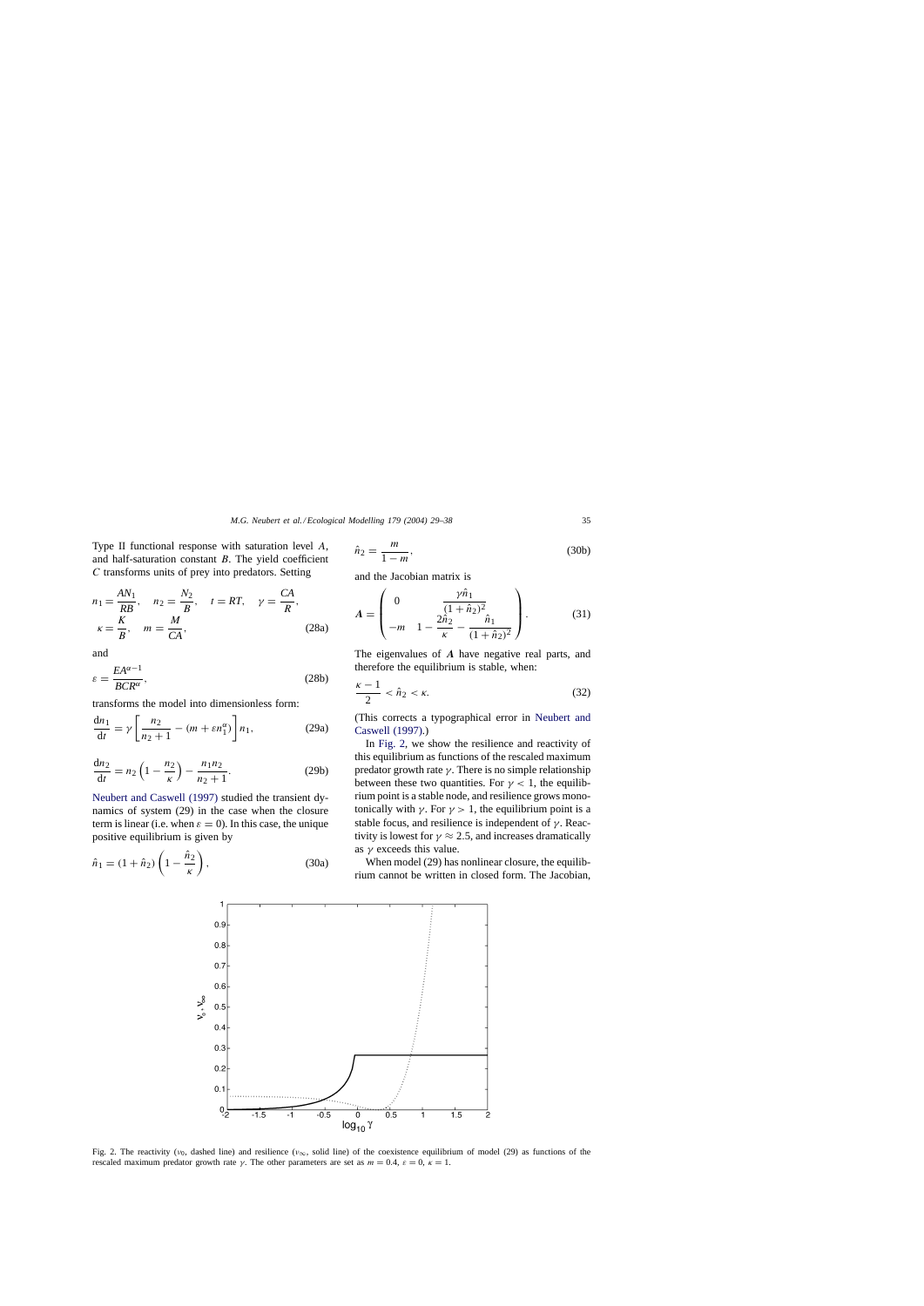<span id="page-6-0"></span>Type II functional response with saturation level A, and half-saturation constant  $B$ . The yield coefficient C transforms units of prey into predators. Setting

$$
n_1 = \frac{AN_1}{RB}, \quad n_2 = \frac{N_2}{B}, \quad t = RT, \quad \gamma = \frac{CA}{R},
$$
  

$$
\kappa = \frac{K}{B}, \quad m = \frac{M}{CA}, \tag{28a}
$$

and

$$
\varepsilon = \frac{EA^{\alpha - 1}}{BCR^{\alpha}},\tag{28b}
$$

transforms the model into dimensionless form:

$$
\frac{\mathrm{d}n_1}{\mathrm{d}t} = \gamma \left[ \frac{n_2}{n_2 + 1} - (m + \varepsilon n_1^{\alpha}) \right] n_1,\tag{29a}
$$

$$
\frac{dn_2}{dt} = n_2 \left( 1 - \frac{n_2}{\kappa} \right) - \frac{n_1 n_2}{n_2 + 1}.
$$
 (29b)

[Neubert and Caswell \(1997\)](#page-9-0) studied the transient dynamics of system (29) in the case when the closure term is linear (i.e. when  $\varepsilon = 0$ ). In this case, the unique positive equilibrium is given by

$$
\hat{n}_1 = (1 + \hat{n}_2) \left( 1 - \frac{\hat{n}_2}{\kappa} \right),\tag{30a}
$$

$$
\hat{n}_2 = \frac{m}{1 - m},\tag{30b}
$$

and the Jacobian matrix is

$$
A = \begin{pmatrix} 0 & \frac{\gamma \hat{n}_1}{(1 + \hat{n}_2)^2} \\ -m & 1 - \frac{2\hat{n}_2}{\kappa} - \frac{\hat{n}_1}{(1 + \hat{n}_2)^2} \end{pmatrix}.
$$
 (31)

The eigenvalues of *A* have negative real parts, and therefore the equilibrium is stable, when:

$$
\frac{\kappa - 1}{2} < \hat{n}_2 < \kappa. \tag{32}
$$

(This corrects a typographical error in [Neubert and](#page-9-0) [Caswell \(1997\).\)](#page-9-0)

In Fig. 2, we show the resilience and reactivity of this equilibrium as functions of the rescaled maximum predator growth rate  $\gamma$ . There is no simple relationship between these two quantities. For  $\gamma$  < 1, the equilibrium point is a stable node, and resilience grows monotonically with  $\gamma$ . For  $\gamma > 1$ , the equilibrium point is a stable focus, and resilience is independent of  $\gamma$ . Reactivity is lowest for  $\gamma \approx 2.5$ , and increases dramatically as  $\gamma$  exceeds this value.

When model (29) has nonlinear closure, the equilibrium cannot be written in closed form. The Jacobian,



Fig. 2. The reactivity ( $v_0$ , dashed line) and resilience ( $v_\infty$ , solid line) of the coexistence equilibrium of model (29) as functions of the rescaled maximum predator growth rate  $\gamma$ . The other parameters are set as  $m = 0.4$ ,  $\varepsilon = 0$ ,  $\kappa = 1$ .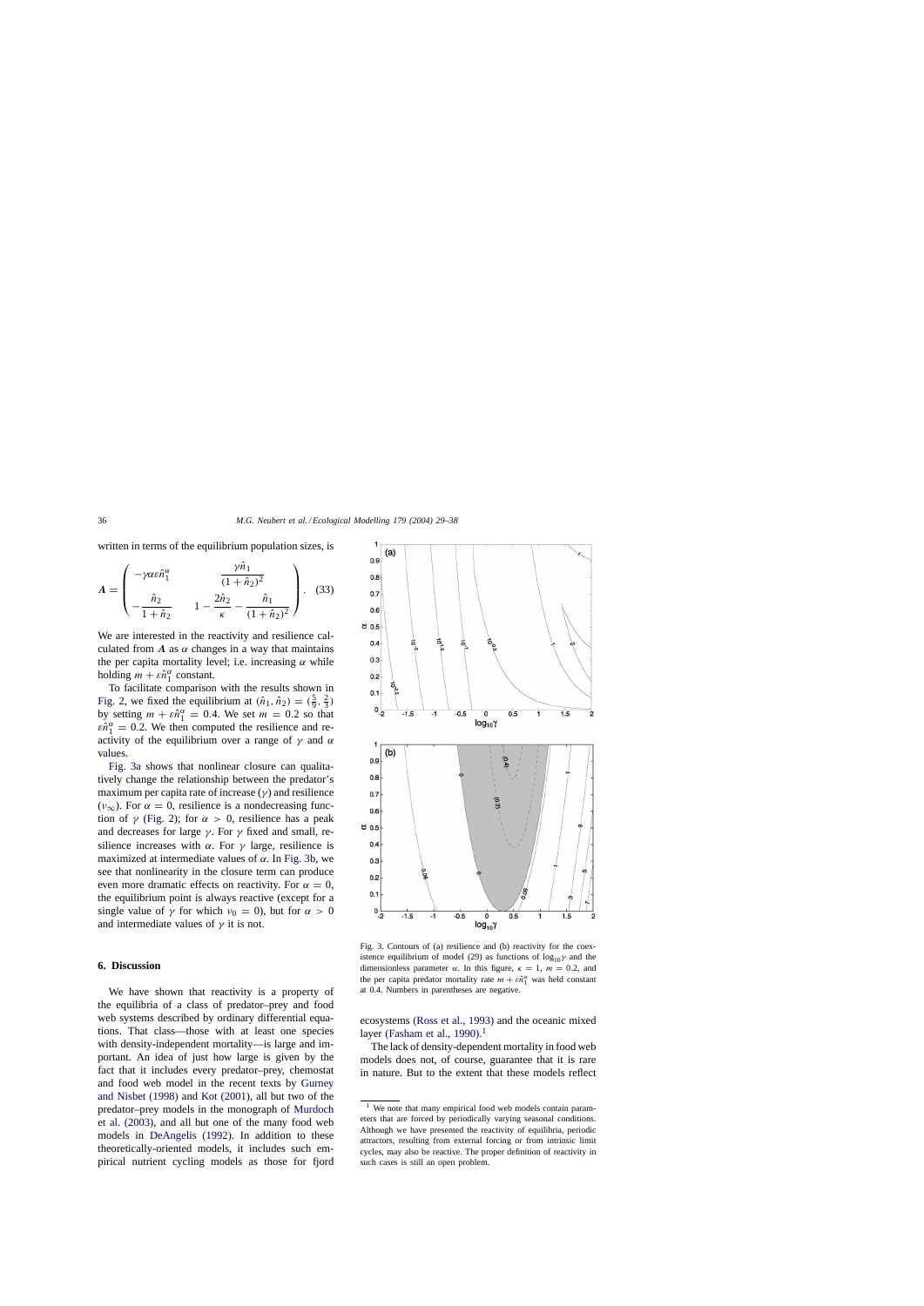<span id="page-7-0"></span>written in terms of the equilibrium population sizes, is

$$
A = \begin{pmatrix} -\gamma \alpha \epsilon \hat{n}_1^{\alpha} & \frac{\gamma \hat{n}_1}{(1 + \hat{n}_2)^2} \\ -\frac{\hat{n}_2}{1 + \hat{n}_2} & 1 - \frac{2\hat{n}_2}{\kappa} - \frac{\hat{n}_1}{(1 + \hat{n}_2)^2} \end{pmatrix}.
$$
 (33)

We are interested in the reactivity and resilience calculated from  $\vec{A}$  as  $\alpha$  changes in a way that maintains the per capita mortality level; i.e. increasing  $\alpha$  while holding  $m + \varepsilon \hat{n}_1^{\alpha}$  constant.

To facilitate comparison with the results shown in [Fig. 2,](#page-6-0) we fixed the equilibrium at  $(\hat{n}_1, \hat{n}_2) = (\frac{5}{9}, \frac{2}{3})$ by setting  $m + \varepsilon \hat{n}_1^{\alpha} = 0.4$ . We set  $m = 0.2$  so that  $\varepsilon \hat{n}_{1}^{\alpha} = 0.2$ . We then computed the resilience and reactivity of the equilibrium over a range of  $\gamma$  and  $\alpha$ values.

Fig. 3a shows that nonlinear closure can qualitatively change the relationship between the predator's maximum per capita rate of increase  $(\gamma)$  and resilience  $(\nu_{\infty})$ . For  $\alpha = 0$ , resilience is a nondecreasing function of  $\gamma$  [\(Fig. 2\);](#page-6-0) for  $\alpha > 0$ , resilience has a peak and decreases for large  $\gamma$ . For  $\gamma$  fixed and small, resilience increases with  $\alpha$ . For  $\gamma$  large, resilience is maximized at intermediate values of  $\alpha$ . In Fig. 3b, we see that nonlinearity in the closure term can produce even more dramatic effects on reactivity. For  $\alpha = 0$ , the equilibrium point is always reactive (except for a single value of  $\gamma$  for which  $\nu_0 = 0$ ), but for  $\alpha > 0$ and intermediate values of  $\gamma$  it is not.

## **6. Discussion**

We have shown that reactivity is a property of the equilibria of a class of predator–prey and food web systems described by ordinary differential equations. That class—those with at least one species with density-independent mortality—is large and important. An idea of just how large is given by the fact that it includes every predator–prey, chemostat and food web model in the recent texts by [Gurney](#page-8-0) [and Nisbet \(1998\)](#page-8-0) and [Kot \(2001\),](#page-8-0) all but two of the predator–prey models in the monograph of [Murdoch](#page-8-0) [et al. \(2003\),](#page-8-0) and all but one of the many food web models in [DeAngelis \(1992\).](#page-8-0) In addition to these theoretically-oriented models, it includes such empirical nutrient cycling models as those for fjord



Fig. 3. Contours of (a) resilience and (b) reactivity for the coexistence equilibrium of model (29) as functions of  $log_{10}\gamma$  and the dimensionless parameter  $\alpha$ . In this figure,  $\kappa = 1$ ,  $m = 0.2$ , and the per capita predator mortality rate  $m + \varepsilon \hat{n}_1^{\alpha}$  was held constant at 0.4. Numbers in parentheses are negative.

ecosystems [\(Ross et al., 1993\)](#page-9-0) and the oceanic mixed layer [\(Fasham et al., 1990\).](#page-8-0)<sup>1</sup>

The lack of density-dependent mortality in food web models does not, of course, guarantee that it is rare in nature. But to the extent that these models reflect

We note that many empirical food web models contain parameters that are forced by periodically varying seasonal conditions. Although we have presented the reactivity of equilibria, periodic attractors, resulting from external forcing or from intrinsic limit cycles, may also be reactive. The proper definition of reactivity in such cases is still an open problem.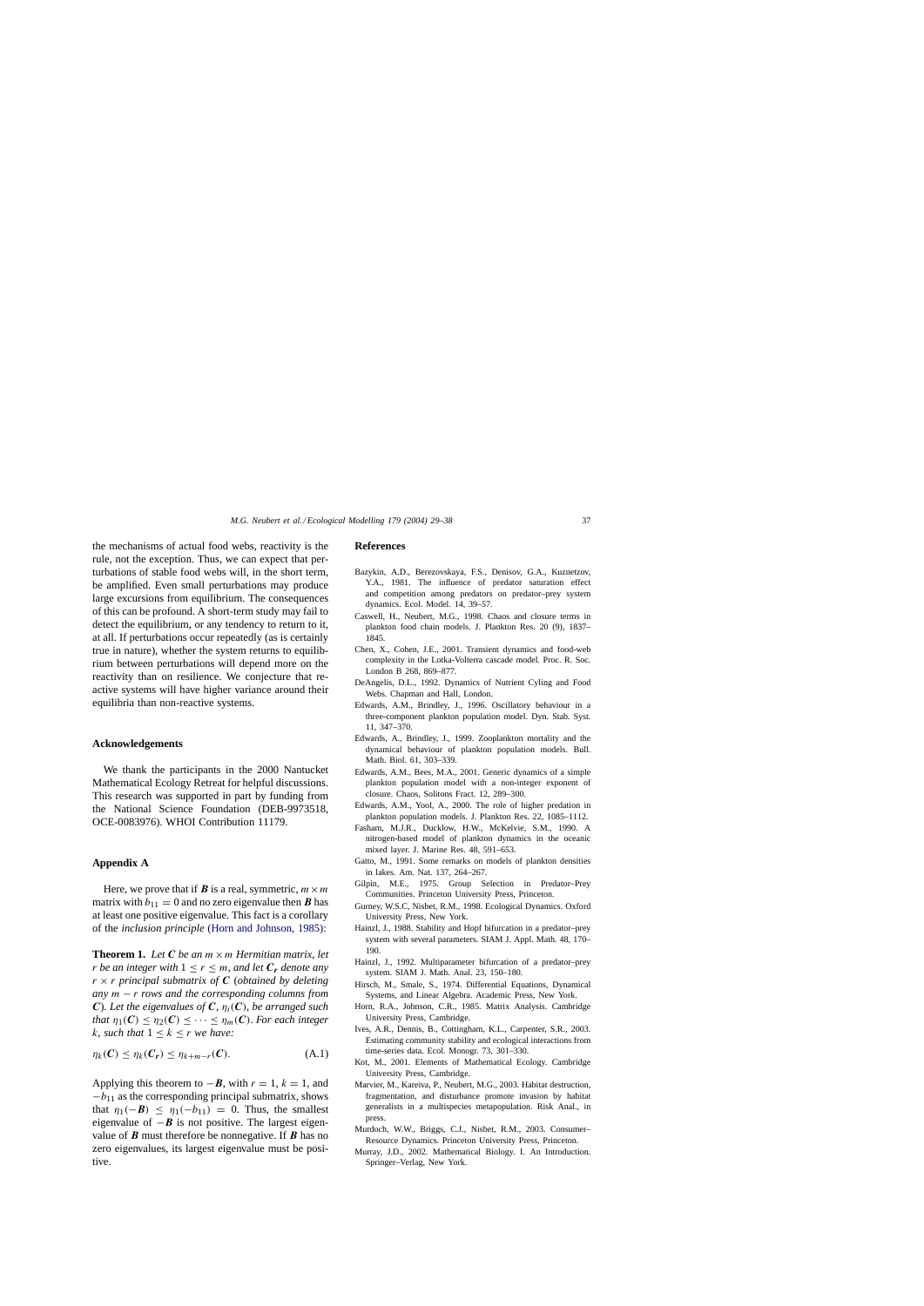<span id="page-8-0"></span>the mechanisms of actual food webs, reactivity is the rule, not the exception. Thus, we can expect that perturbations of stable food webs will, in the short term, be amplified. Even small perturbations may produce large excursions from equilibrium. The consequences of this can be profound. A short-term study may fail to detect the equilibrium, or any tendency to return to it, at all. If perturbations occur repeatedly (as is certainly true in nature), whether the system returns to equilibrium between perturbations will depend more on the reactivity than on resilience. We conjecture that reactive systems will have higher variance around their equilibria than non-reactive systems.

#### **Acknowledgements**

We thank the participants in the 2000 Nantucket Mathematical Ecology Retreat for helpful discussions. This research was supported in part by funding from the National Science Foundation (DEB-9973518, OCE-0083976). WHOI Contribution 11179.

#### **Appendix A**

Here, we prove that if *B* is a real, symmetric,  $m \times m$ matrix with  $b_{11} = 0$  and no zero eigenvalue then *B* has at least one positive eigenvalue. This fact is a corollary of the *inclusion principle* (Horn and Johnson, 1985):

**Theorem 1.** Let  $C$  be an  $m \times m$  *Hermitian matrix, let r be an integer with*  $1 \le r \le m$ , *and let*  $C_r$  *denote any*  $r \times r$  principal submatrix of C (obtained by deleting *any* m − r *rows and the corresponding columns from*  $C$ ). Let the eigenvalues of  $C$ ,  $\eta_i(C)$ , be arranged such *that*  $\eta_1(\mathbf{C}) \leq \eta_2(\mathbf{C}) \leq \cdots \leq \eta_m(\mathbf{C})$ . *For each integer* k, *such that*  $1 \leq k \leq r$  *we have:* 

$$
\eta_k(C) \leq \eta_k(C_r) \leq \eta_{k+m-r}(C). \tag{A.1}
$$

Applying this theorem to  $-\mathbf{B}$ , with  $r = 1$ ,  $k = 1$ , and  $-b_{11}$  as the corresponding principal submatrix, shows that  $\eta_1(-B) \leq \eta_1(-b_{11}) = 0$ . Thus, the smallest eigenvalue of  $-\mathbf{B}$  is not positive. The largest eigenvalue of *B* must therefore be nonnegative. If *B* has no zero eigenvalues, its largest eigenvalue must be positive.

#### **References**

- Bazykin, A.D., Berezovskaya, F.S., Denisov, G.A., Kuznetzov, Y.A., 1981. The influence of predator saturation effect and competition among predators on predator–prey system dynamics. Ecol. Model. 14, 39–57.
- Caswell, H., Neubert, M.G., 1998. Chaos and closure terms in plankton food chain models. J. Plankton Res. 20 (9), 1837– 1845.
- Chen, X., Cohen, J.E., 2001. Transient dynamics and food-web complexity in the Lotka-Volterra cascade model. Proc. R. Soc. London B 268, 869–877.
- DeAngelis, D.L., 1992. Dynamics of Nutrient Cyling and Food Webs. Chapman and Hall, London.
- Edwards, A.M., Brindley, J., 1996. Oscillatory behaviour in a three-component plankton population model. Dyn. Stab. Syst. 11, 347–370.
- Edwards, A., Brindley, J., 1999. Zooplankton mortality and the dynamical behaviour of plankton population models. Bull. Math. Biol. 61, 303–339.
- Edwards, A.M., Bees, M.A., 2001. Generic dynamics of a simple plankton population model with a non-integer exponent of closure. Chaos, Solitons Fract. 12, 289–300.
- Edwards, A.M., Yool, A., 2000. The role of higher predation in plankton population models. J. Plankton Res. 22, 1085–1112.
- Fasham, M.J.R., Ducklow, H.W., McKelvie, S.M., 1990. A nitrogen-based model of plankton dynamics in the oceanic mixed layer. J. Marine Res. 48, 591–653.
- Gatto, M., 1991. Some remarks on models of plankton densities in lakes. Am. Nat. 137, 264–267.
- Gilpin, M.E., 1975. Group Selection in Predator–Prey Communities. Princeton University Press, Princeton.
- Gurney, W.S.C, Nisbet, R.M., 1998. Ecological Dynamics. Oxford University Press, New York.
- Hainzl, J., 1988. Stability and Hopf bifurcation in a predator–prey system with several parameters. SIAM J. Appl. Math. 48, 170– 190.
- Hainzl, J., 1992. Multiparameter bifurcation of a predator–prey system. SIAM J. Math. Anal. 23, 150–180.
- Hirsch, M., Smale, S., 1974. Differential Equations, Dynamical Systems, and Linear Algebra. Academic Press, New York.
- Horn, R.A., Johnson, C.R., 1985. Matrix Analysis. Cambridge University Press, Cambridge.
- Ives, A.R., Dennis, B., Cottingham, K.L., Carpenter, S.R., 2003. Estimating community stability and ecological interactions from time-series data. Ecol. Monogr. 73, 301–330.
- Kot, M., 2001. Elements of Mathematical Ecology. Cambridge University Press, Cambridge.
- Marvier, M., Kareiva, P., Neubert, M.G., 2003. Habitat destruction, fragmentation, and disturbance promote invasion by habitat generalists in a multispecies metapopulation. Risk Anal., in press.
- Murdoch, W.W., Briggs, C.J., Nisbet, R.M., 2003. Consumer– Resource Dynamics. Princeton University Press, Princeton.
- Murray, J.D., 2002. Mathematical Biology. I. An Introduction. Springer–Verlag, New York.